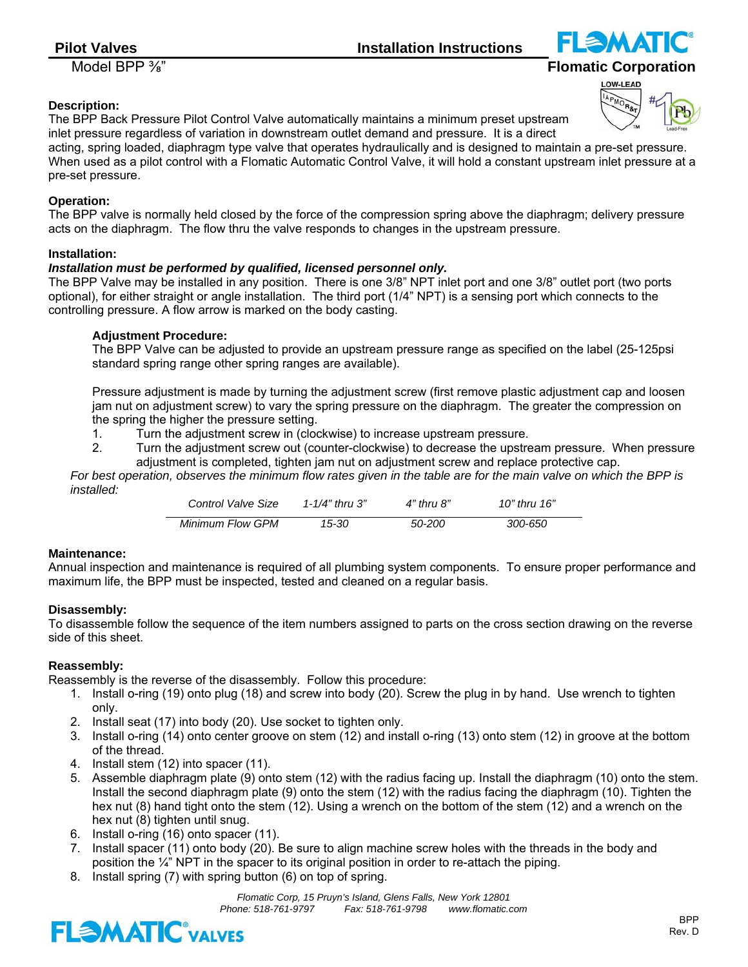Model BPP ⅜" **Flomatic Corporation**

# OW-LEAD

# **Description:**

The BPP Back Pressure Pilot Control Valve automatically maintains a minimum preset upstream inlet pressure regardless of variation in downstream outlet demand and pressure. It is a direct

acting, spring loaded, diaphragm type valve that operates hydraulically and is designed to maintain a pre-set pressure. When used as a pilot control with a Flomatic Automatic Control Valve, it will hold a constant upstream inlet pressure at a pre-set pressure.

# **Operation:**

The BPP valve is normally held closed by the force of the compression spring above the diaphragm; delivery pressure acts on the diaphragm. The flow thru the valve responds to changes in the upstream pressure.

## **Installation:**

# *Installation must be performed by qualified, licensed personnel only.*

The BPP Valve may be installed in any position. There is one 3/8" NPT inlet port and one 3/8" outlet port (two ports optional), for either straight or angle installation. The third port (1/4" NPT) is a sensing port which connects to the controlling pressure. A flow arrow is marked on the body casting.

# **Adjustment Procedure:**

 The BPP Valve can be adjusted to provide an upstream pressure range as specified on the label (25-125psi standard spring range other spring ranges are available).

 Pressure adjustment is made by turning the adjustment screw (first remove plastic adjustment cap and loosen jam nut on adjustment screw) to vary the spring pressure on the diaphragm. The greater the compression on the spring the higher the pressure setting.

- 1. Turn the adjustment screw in (clockwise) to increase upstream pressure.
- 2. Turn the adjustment screw out (counter-clockwise) to decrease the upstream pressure. When pressure adjustment is completed, tighten jam nut on adjustment screw and replace protective cap.

*For best operation, observes the minimum flow rates given in the table are for the main valve on which the BPP is installed:*

| Control Valve Size | 1-1/4" thru $3"$ | 4" thru 8" | 10" thru 16" |
|--------------------|------------------|------------|--------------|
| Minimum Flow GPM   | 15-30            | 50-200     | 300-650      |

## **Maintenance:**

Annual inspection and maintenance is required of all plumbing system components. To ensure proper performance and maximum life, the BPP must be inspected, tested and cleaned on a regular basis.

## **Disassembly:**

To disassemble follow the sequence of the item numbers assigned to parts on the cross section drawing on the reverse side of this sheet.

## **Reassembly:**

Reassembly is the reverse of the disassembly. Follow this procedure:

- 1. Install o-ring (19) onto plug (18) and screw into body (20). Screw the plug in by hand. Use wrench to tighten only.
- 2. Install seat (17) into body (20). Use socket to tighten only.
- 3. Install o-ring (14) onto center groove on stem (12) and install o-ring (13) onto stem (12) in groove at the bottom of the thread.
- 4. Install stem (12) into spacer (11).
- 5. Assemble diaphragm plate (9) onto stem (12) with the radius facing up. Install the diaphragm (10) onto the stem. Install the second diaphragm plate (9) onto the stem (12) with the radius facing the diaphragm (10). Tighten the hex nut (8) hand tight onto the stem (12). Using a wrench on the bottom of the stem (12) and a wrench on the hex nut (8) tighten until snug.
- 6. Install o-ring (16) onto spacer (11).
- 7. Install spacer (11) onto body (20). Be sure to align machine screw holes with the threads in the body and position the  $\frac{1}{4}$ " NPT in the spacer to its original position in order to re-attach the piping.
- 8. Install spring (7) with spring button (6) on top of spring.

*Flomatic Corp, 15 Pruyn's Island, Glens Falls, New York 12801 Phone: 518-761-9797 Fax: 518-761-9798 www.flomatic.com*